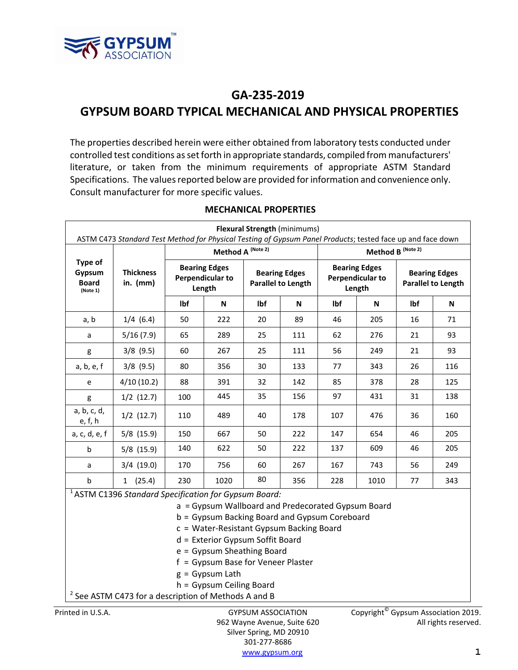

# **GA‐235‐2019 GYPSUM BOARD TYPICAL MECHANICAL AND PHYSICAL PROPERTIES**

The properties described herein were either obtained from laboratory tests conducted under controlled test conditions asset forth in appropriate standards, compiled from manufacturers' literature, or taken from the minimum requirements of appropriate ASTM Standard Specifications. The values reported below are provided for information and convenience only. Consult manufacturer for more specific values.

| <b>Flexural Strength (minimums)</b><br>ASTM C473 Standard Test Method for Physical Testing of Gypsum Panel Products; tested face up and face down                                                                                                                                                                                                                                                                                                |                              |                   |                                                           |     |                                                   |                              |                                                           |                                                   |     |
|--------------------------------------------------------------------------------------------------------------------------------------------------------------------------------------------------------------------------------------------------------------------------------------------------------------------------------------------------------------------------------------------------------------------------------------------------|------------------------------|-------------------|-----------------------------------------------------------|-----|---------------------------------------------------|------------------------------|-----------------------------------------------------------|---------------------------------------------------|-----|
|                                                                                                                                                                                                                                                                                                                                                                                                                                                  |                              | Method A (Note 2) |                                                           |     |                                                   | Method B <sup>(Note 2)</sup> |                                                           |                                                   |     |
| Type of<br>Gypsum<br><b>Board</b><br>(Note 1)                                                                                                                                                                                                                                                                                                                                                                                                    | <b>Thickness</b><br>in. (mm) |                   | <b>Bearing Edges</b><br><b>Perpendicular to</b><br>Length |     | <b>Bearing Edges</b><br><b>Parallel to Length</b> |                              | <b>Bearing Edges</b><br><b>Perpendicular to</b><br>Length | <b>Bearing Edges</b><br><b>Parallel to Length</b> |     |
|                                                                                                                                                                                                                                                                                                                                                                                                                                                  |                              | lbf               | N                                                         | Ibf | N                                                 | lbf                          | N                                                         | lbf                                               | N   |
| a, b                                                                                                                                                                                                                                                                                                                                                                                                                                             | $1/4$ (6.4)                  | 50                | 222                                                       | 20  | 89                                                | 46                           | 205                                                       | 16                                                | 71  |
| a                                                                                                                                                                                                                                                                                                                                                                                                                                                | 5/16(7.9)                    | 65                | 289                                                       | 25  | 111                                               | 62                           | 276                                                       | 21                                                | 93  |
| g                                                                                                                                                                                                                                                                                                                                                                                                                                                | $3/8$ (9.5)                  | 60                | 267                                                       | 25  | 111                                               | 56                           | 249                                                       | 21                                                | 93  |
| a, b, e, f                                                                                                                                                                                                                                                                                                                                                                                                                                       | $3/8$ (9.5)                  | 80                | 356                                                       | 30  | 133                                               | 77                           | 343                                                       | 26                                                | 116 |
| e                                                                                                                                                                                                                                                                                                                                                                                                                                                | 4/10(10.2)                   | 88                | 391                                                       | 32  | 142                                               | 85                           | 378                                                       | 28                                                | 125 |
| g                                                                                                                                                                                                                                                                                                                                                                                                                                                | $1/2$ (12.7)                 | 100               | 445                                                       | 35  | 156                                               | 97                           | 431                                                       | 31                                                | 138 |
| a, b, c, d,<br>e, f, h                                                                                                                                                                                                                                                                                                                                                                                                                           | $1/2$ (12.7)                 | 110               | 489                                                       | 40  | 178                                               | 107                          | 476                                                       | 36                                                | 160 |
| a, c, d, e, f                                                                                                                                                                                                                                                                                                                                                                                                                                    | $5/8$ (15.9)                 | 150               | 667                                                       | 50  | 222                                               | 147                          | 654                                                       | 46                                                | 205 |
| $\mathsf b$                                                                                                                                                                                                                                                                                                                                                                                                                                      | $5/8$ (15.9)                 | 140               | 622                                                       | 50  | 222                                               | 137                          | 609                                                       | 46                                                | 205 |
| a                                                                                                                                                                                                                                                                                                                                                                                                                                                | $3/4$ (19.0)                 | 170               | 756                                                       | 60  | 267                                               | 167                          | 743                                                       | 56                                                | 249 |
| $\mathsf b$                                                                                                                                                                                                                                                                                                                                                                                                                                      | 1(25.4)                      | 230               | 1020                                                      | 80  | 356                                               | 228                          | 1010                                                      | 77                                                | 343 |
| <sup>1</sup> ASTM C1396 Standard Specification for Gypsum Board:<br>a = Gypsum Wallboard and Predecorated Gypsum Board<br>b = Gypsum Backing Board and Gypsum Coreboard<br>c = Water-Resistant Gypsum Backing Board<br>d = Exterior Gypsum Soffit Board<br>e = Gypsum Sheathing Board<br>f = Gypsum Base for Veneer Plaster<br>$g = Gypsum Latin$<br>h = Gypsum Ceiling Board<br><sup>2</sup> See ASTM C473 for a description of Methods A and B |                              |                   |                                                           |     |                                                   |                              |                                                           |                                                   |     |
|                                                                                                                                                                                                                                                                                                                                                                                                                                                  |                              |                   |                                                           |     |                                                   |                              |                                                           |                                                   |     |

## **MECHANICAL PROPERTIES**

Silver Spring, MD 20910 301‐277‐8686 www.gypsum.org **1**

Printed in U.S.A. GYPSUM ASSOCIATION Copyright<sup>®</sup> Gypsum Association 2019. 962 Wayne Avenue, Suite 620 All rights reserved.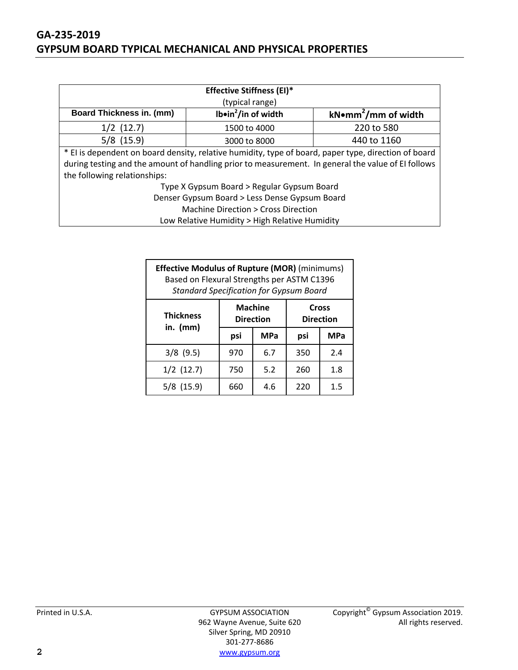## **GA‐235‐2019 GYPSUM BOARD TYPICAL MECHANICAL AND PHYSICAL PROPERTIES**

| <b>Effective Stiffness (EI)*</b>                                                              |                                                                                                      |            |  |  |  |  |
|-----------------------------------------------------------------------------------------------|------------------------------------------------------------------------------------------------------|------------|--|--|--|--|
|                                                                                               | (typical range)                                                                                      |            |  |  |  |  |
| <b>Board Thickness in. (mm)</b><br>Ib•in $^2$ /in of width<br>kNomm <sup>2</sup> /mm of width |                                                                                                      |            |  |  |  |  |
| $1/2$ (12.7)                                                                                  | 1500 to 4000                                                                                         | 220 to 580 |  |  |  |  |
| $5/8$ (15.9)<br>440 to 1160<br>3000 to 8000                                                   |                                                                                                      |            |  |  |  |  |
|                                                                                               | * El is dependent on board density, relative humidity, type of board, paper type, direction of board |            |  |  |  |  |
|                                                                                               | during testing and the amount of handling prior to measurement. In general the value of EI follows   |            |  |  |  |  |
| the following relationships:                                                                  |                                                                                                      |            |  |  |  |  |
| Type X Gypsum Board > Regular Gypsum Board                                                    |                                                                                                      |            |  |  |  |  |
| Denser Gypsum Board > Less Dense Gypsum Board                                                 |                                                                                                      |            |  |  |  |  |
| Machine Direction > Cross Direction                                                           |                                                                                                      |            |  |  |  |  |

Low Relative Humidity > High Relative Humidity

| <b>Effective Modulus of Rupture (MOR)</b> (minimums)<br>Based on Flexural Strengths per ASTM C1396<br><b>Standard Specification for Gypsum Board</b> |                  |                |                           |            |  |  |
|------------------------------------------------------------------------------------------------------------------------------------------------------|------------------|----------------|---------------------------|------------|--|--|
| <b>Thickness</b>                                                                                                                                     | <b>Direction</b> | <b>Machine</b> | Cross<br><b>Direction</b> |            |  |  |
| in. $(mm)$                                                                                                                                           | psi              | <b>MPa</b>     | psi                       | <b>MPa</b> |  |  |
| $3/8$ (9.5)                                                                                                                                          | 970              | 6.7            | 350                       | 2.4        |  |  |
| $1/2$ (12.7)                                                                                                                                         | 750              | 5.2            | 260                       | 1.8        |  |  |
| $5/8$ (15.9)                                                                                                                                         | 660              | 4.6            | 220                       | 1.5        |  |  |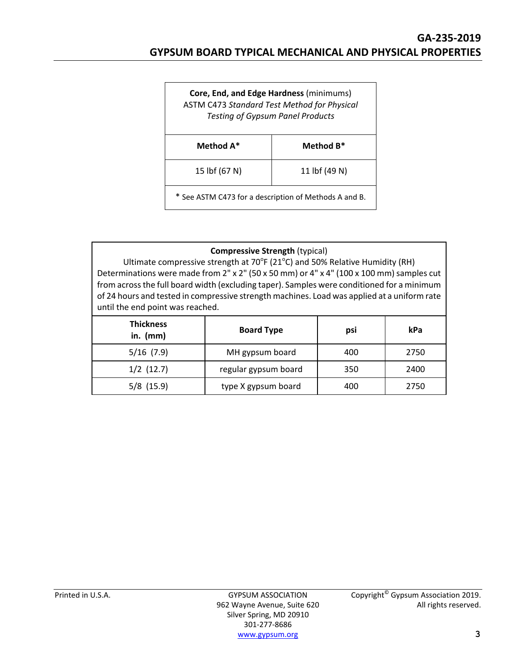| Core, End, and Edge Hardness (minimums)<br><b>ASTM C473 Standard Test Method for Physical</b><br><b>Testing of Gypsum Panel Products</b> |           |  |  |  |
|------------------------------------------------------------------------------------------------------------------------------------------|-----------|--|--|--|
| Method A*                                                                                                                                | Method B* |  |  |  |
| 15 lbf (67 N)<br>11 lbf (49 N)                                                                                                           |           |  |  |  |
| * See ASTM C473 for a description of Methods A and B.                                                                                    |           |  |  |  |

## **Compressive Strength** (typical)

Ultimate compressive strength at  $70^{\circ}$ F (21 $^{\circ}$ C) and 50% Relative Humidity (RH) Determinations were made from 2" x 2" (50 x 50 mm) or 4" x 4" (100 x 100 mm) samples cut from acrossthe full board width (excluding taper). Samples were conditioned for a minimum of 24 hours and tested in compressive strength machines. Load was applied at a uniform rate until the end point was reached.

| <b>Thickness</b><br>in. $(mm)$ | <b>Board Type</b>    | psi | kPa  |
|--------------------------------|----------------------|-----|------|
| $5/16$ (7.9)                   | MH gypsum board      | 400 | 2750 |
| $1/2$ (12.7)                   | regular gypsum board | 350 | 2400 |
| $5/8$ (15.9)                   | type X gypsum board  | 400 | 2750 |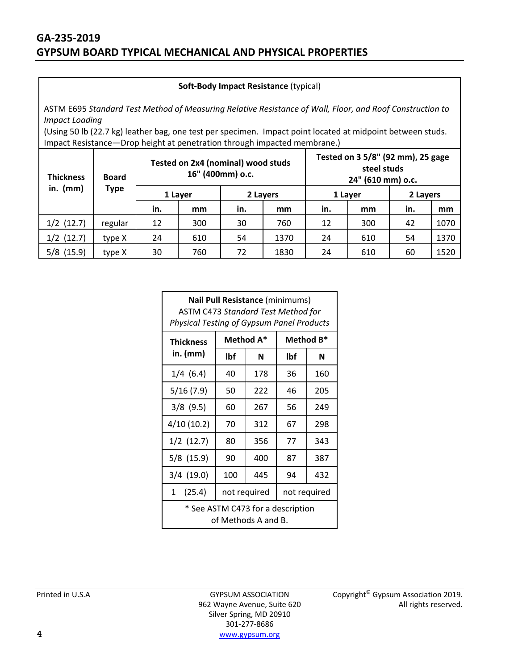#### **Soft‐Body Impact Resistance** (typical)

ASTM E695 *Standard Test Method of Measuring Relative Resistance of Wall, Floor, and Roof Construction to Impact Loading*

(Using 50 lb (22.7 kg) leather bag, one test per specimen. Impact point located at midpoint between studs. Impact Resistance—Drop height at penetration through impacted membrane.)

| <b>Thickness</b> | <b>Board</b> | Tested on 2x4 (nominal) wood studs<br>16" (400mm) o.c. |         |          |      | Tested on 3 5/8" (92 mm), 25 gage<br>steel studs<br>24" (610 mm) o.c. |     |          |      |
|------------------|--------------|--------------------------------------------------------|---------|----------|------|-----------------------------------------------------------------------|-----|----------|------|
| in. $(mm)$       | <b>Type</b>  |                                                        | 1 Laver | 2 Layers |      | 1 Layer                                                               |     | 2 Layers |      |
|                  |              | in.                                                    | mm      | in.      | mm   | in.                                                                   | mm  | in.      | mm   |
| $1/2$ (12.7)     | regular      | 12                                                     | 300     | 30       | 760  | 12                                                                    | 300 | 42       | 1070 |
| $1/2$ (12.7)     | type X       | 24                                                     | 610     | 54       | 1370 | 24                                                                    | 610 | 54       | 1370 |
| $5/8$ (15.9)     | type X       | 30                                                     | 760     | 72       | 1830 | 24                                                                    | 610 | 60       | 1520 |

| Nail Pull Resistance (minimums)<br><b>ASTM C473 Standard Test Method for</b><br>Physical Testing of Gypsum Panel Products |           |     |           |     |  |  |
|---------------------------------------------------------------------------------------------------------------------------|-----------|-----|-----------|-----|--|--|
| <b>Thickness</b>                                                                                                          | Method A* |     | Method B* |     |  |  |
| in. (mm)                                                                                                                  | lbf       | N   | lbf       | N   |  |  |
| $1/4$ (6.4)                                                                                                               | 40        | 178 | 36        | 160 |  |  |
| 5/16(7.9)                                                                                                                 | 50        | 222 | 46        | 205 |  |  |
| $3/8$ (9.5)                                                                                                               | 60        | 267 | 56        | 249 |  |  |
| 4/10(10.2)                                                                                                                | 70        | 312 | 67        | 298 |  |  |
| $1/2$ (12.7)                                                                                                              | 80        | 356 | 77        | 343 |  |  |
| $5/8$ (15.9)                                                                                                              | 90        | 400 | 87        | 387 |  |  |
| $3/4$ (19.0)                                                                                                              | 100       | 445 | 94        | 432 |  |  |
| 1(25.4)<br>not required<br>not required                                                                                   |           |     |           |     |  |  |
| * See ASTM C473 for a description<br>of Methods A and B.                                                                  |           |     |           |     |  |  |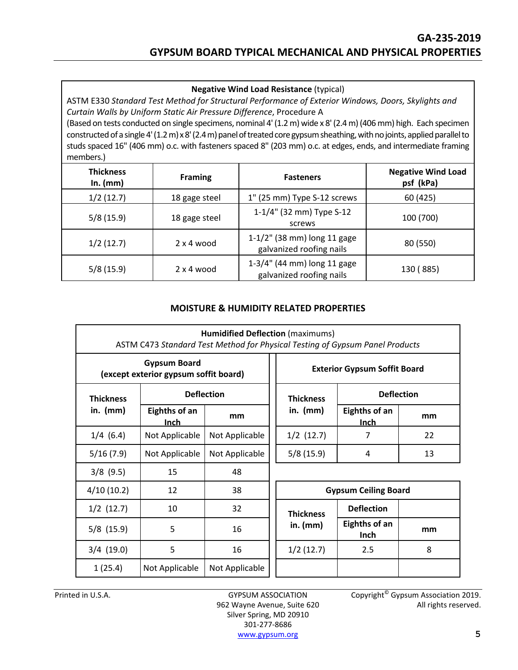**Negative Wind Load Resistance** (typical)

ASTM E330 *Standard Test Method for Structural Performance of Exterior Windows, Doors, Skylights and Curtain Walls by Uniform Static Air Pressure Difference*, Procedure A

(Based on tests conducted on single specimens, nominal 4'(1.2m) wide x 8'(2.4m)(406mm) high. Each specimen constructed of a single 4'(1.2 m) x 8'(2.4 m) panel of treated core gypsum sheathing, with no joints, applied parallel to studs spaced 16" (406 mm) o.c. with fasteners spaced 8" (203 mm) o.c. at edges, ends, and intermediate framing members.)

| <b>Thickness</b><br><b>Framing</b><br>In. $(mm)$ |                   | <b>Fasteners</b>                                        | <b>Negative Wind Load</b><br>psf (kPa) |
|--------------------------------------------------|-------------------|---------------------------------------------------------|----------------------------------------|
| 1/2(12.7)                                        | 18 gage steel     | 1" (25 mm) Type S-12 screws                             | 60 (425)                               |
| 5/8(15.9)                                        | 18 gage steel     | 1-1/4" (32 mm) Type S-12<br>screws                      | 100 (700)                              |
| 1/2(12.7)                                        | $2 \times 4$ wood | 1-1/2" (38 mm) long 11 gage<br>galvanized roofing nails | 80 (550)                               |
| 5/8(15.9)                                        | $2 \times 4$ wood | 1-3/4" (44 mm) long 11 gage<br>galvanized roofing nails | 130 (885)                              |

## **MOISTURE & HUMIDITY RELATED PROPERTIES**

| <b>Humidified Deflection (maximums)</b><br>ASTM C473 Standard Test Method for Physical Testing of Gypsum Panel Products |                              |                   |                                       |                                     |                              |    |  |
|-------------------------------------------------------------------------------------------------------------------------|------------------------------|-------------------|---------------------------------------|-------------------------------------|------------------------------|----|--|
| <b>Gypsum Board</b><br>(except exterior gypsum soffit board)                                                            |                              |                   |                                       | <b>Exterior Gypsum Soffit Board</b> |                              |    |  |
| <b>Thickness</b>                                                                                                        |                              | <b>Deflection</b> | <b>Deflection</b><br><b>Thickness</b> |                                     |                              |    |  |
| in. $(mm)$                                                                                                              | Eighths of an<br><b>Inch</b> | mm                |                                       | in. $(mm)$                          | Eighths of an<br><b>Inch</b> | mm |  |
| $1/4$ (6.4)                                                                                                             | Not Applicable               | Not Applicable    |                                       | $1/2$ (12.7)                        | 7                            | 22 |  |
| 5/16(7.9)                                                                                                               | Not Applicable               | Not Applicable    |                                       | 5/8(15.9)                           | $\overline{4}$               | 13 |  |
| $3/8$ (9.5)                                                                                                             | 15                           | 48                |                                       |                                     |                              |    |  |
| 4/10(10.2)                                                                                                              | 12                           | 38                |                                       |                                     | <b>Gypsum Ceiling Board</b>  |    |  |
| $1/2$ (12.7)                                                                                                            | 10                           | 32                |                                       | <b>Thickness</b>                    | <b>Deflection</b>            |    |  |
| $5/8$ (15.9)                                                                                                            | 5                            | 16                |                                       | in. $(mm)$                          | <b>Eighths of an</b><br>Inch | mm |  |
| $3/4$ (19.0)                                                                                                            | 5                            | 16                |                                       | 1/2(12.7)                           | 2.5                          | 8  |  |
| 1(25.4)                                                                                                                 | Not Applicable               | Not Applicable    |                                       |                                     |                              |    |  |

Silver Spring, MD 20910 301‐277‐8686 www.gypsum.org **5**

Printed in U.S.A. **GYPSUM ASSOCIATION** Copyright<sup>©</sup> Gypsum Association 2019. 962 Wayne Avenue, Suite 620 All rights reserved.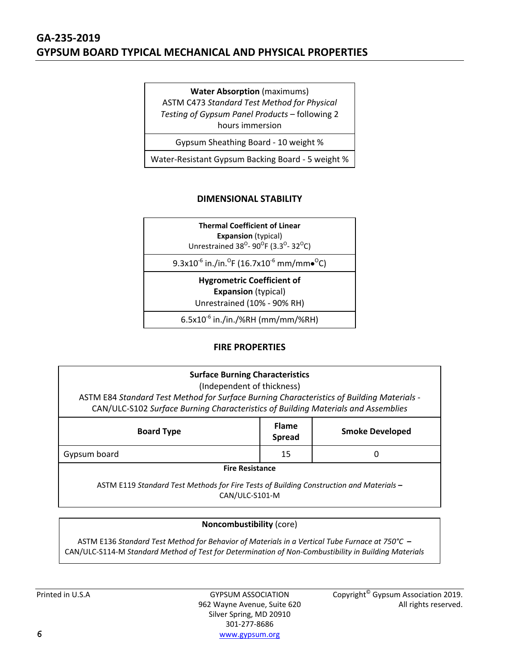## **GA‐235‐2019 GYPSUM BOARD TYPICAL MECHANICAL AND PHYSICAL PROPERTIES**

**Water Absorption** (maximums) ASTM C473 *Standard Test Method for Physical Testing of Gypsum Panel Products* – following 2 hours immersion

Gypsum Sheathing Board ‐ 10 weight %

Water‐Resistant Gypsum Backing Board ‐ 5 weight %

## **DIMENSIONAL STABILITY**

**Thermal Coefficient of Linear Expansion** (typical) Unrestrained 38<sup>o</sup>- 90<sup>o</sup>F (3.3<sup>o</sup>- 32<sup>o</sup>C)

 $9.3$ x $10^{-6}$  in./in. $^{\sf O}$ F (16.7x $10^{-6}$  mm/mm $\bullet^{\sf O}$ C)

**Hygrometric Coefficient of**

**Expansion** (typical)

Unrestrained (10% ‐ 90% RH)

 $6.5x10^{-6}$  in./in./%RH (mm/mm/%RH)

## **FIRE PROPERTIES**

## **Surface Burning Characteristics**

(Independent of thickness)

ASTM E84 *Standard Test Method for Surface Burning Characteristics of Building Materials* ‐ CAN/ULC‐S102 *Surface Burning Characteristics of Building Materials and Assemblies*

| <b>Board Type</b>      | <b>Flame</b><br><b>Spread</b> | <b>Smoke Developed</b> |  |  |  |
|------------------------|-------------------------------|------------------------|--|--|--|
| Gypsum board           | 15                            |                        |  |  |  |
| <b>Fire Resistance</b> |                               |                        |  |  |  |

ASTM E119 *Standard Test Methods for Fire Tests of Building Construction and Materials* **–**  CAN/ULC‐S101‐M

## **Noncombustibility** (core)

ASTM E136 *Standard Test Method for Behavior of Materials in a Vertical Tube Furnace at 750°C* **–** CAN/ULC‐S114‐M *Standard Method of Test for Determination of Non‐Combustibility in Building Materials*

962 Wayne Avenue, Suite 620 Silver Spring, MD 20910 301‐277‐8686 **6** www.gypsum.org

Printed in U.S.A GYPSUM ASSOCIATION Copyright<sup>©</sup> Gypsum Association 2019.<br>.962 Wayne Avenue, Suite 620 Copyright<sup>©</sup> Gypsum Association 2019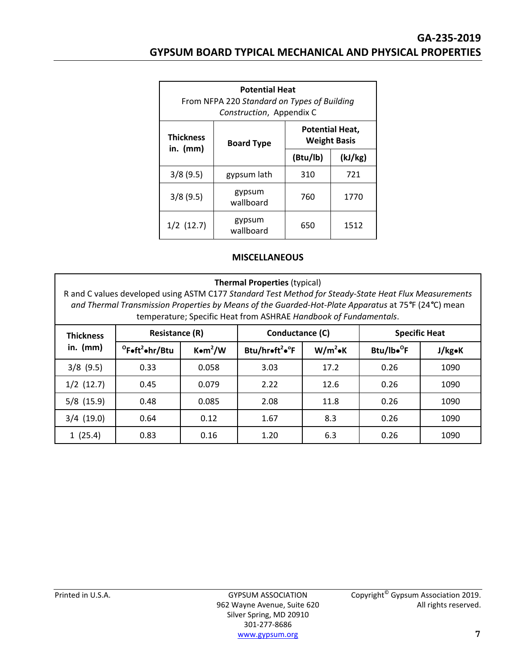| <b>Potential Heat</b><br>From NFPA 220 Standard on Types of Building<br>Construction, Appendix C |                     |                                               |         |  |  |
|--------------------------------------------------------------------------------------------------|---------------------|-----------------------------------------------|---------|--|--|
| <b>Thickness</b>                                                                                 | <b>Board Type</b>   | <b>Potential Heat,</b><br><b>Weight Basis</b> |         |  |  |
| in. $(mm)$                                                                                       |                     | (Btu/lb)                                      | (kJ/kg) |  |  |
| 3/8(9.5)                                                                                         | gypsum lath         | 310                                           | 721     |  |  |
| 3/8(9.5)                                                                                         | gypsum<br>wallboard | 760                                           | 1770    |  |  |
| $1/2$ (12.7)                                                                                     | gypsum<br>wallboard | 650                                           | 1512    |  |  |

#### **MISCELLANEOUS**

#### **Thermal Properties** (typical)

R and C values developed using ASTM C177 *Standard Test Method for Steady‐State Heat Flux Measurements and Thermal Transmission Properties by Means of the Guarded‐Hot‐Plate Apparatus* at 75*°*F (24*°*C) mean temperature; Specific Heat from ASHRAE *Handbook of Fundamentals*.

| <b>Thickness</b> | <b>Resistance (R)</b>                                                   |       | Conductance (C)                         |            | <b>Specific Heat</b>   |        |  |
|------------------|-------------------------------------------------------------------------|-------|-----------------------------------------|------------|------------------------|--------|--|
| in. $(mm)$       | $^{\circ}$ Foft <sup>2</sup> ohr/Btu<br>$K$ $\bullet$ m <sup>2</sup> /W |       | Btu/hroft <sup>2</sup> o <sup>o</sup> F | $W/m^2$ oK | Btu/lbo <sup>o</sup> F | J/kg•K |  |
| $3/8$ (9.5)      | 0.33                                                                    | 0.058 | 3.03                                    | 17.2       | 0.26                   | 1090   |  |
| $1/2$ (12.7)     | 0.45                                                                    | 0.079 | 2.22                                    | 12.6       | 0.26                   | 1090   |  |
| $5/8$ (15.9)     | 0.48                                                                    | 0.085 | 2.08                                    | 11.8       | 0.26                   | 1090   |  |
| $3/4$ (19.0)     | 0.64                                                                    | 0.12  | 1.67                                    | 8.3        | 0.26                   | 1090   |  |
| 1(25.4)          | 0.83                                                                    | 0.16  | 1.20                                    | 6.3        | 0.26                   | 1090   |  |